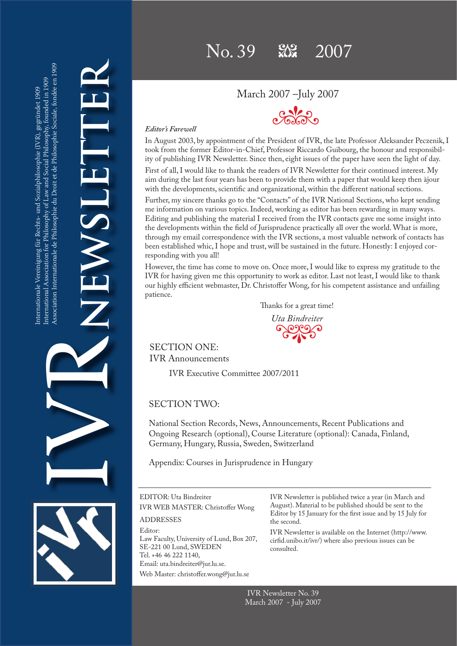# March 2007 –July 2007



**NEWSLETTER** HEWENE

 $\frac{1}{2}$ 

### *Editor's Farewell*

In August 2003, by appointment of the President of IVR, the late Professor Aleksander Peczenik, I took from the former Editor-in-Chief, Professor Riccardo Guibourg, the honour and responsibility of publishing IVR Newsletter. Since then, eight issues of the paper have seen the light of day.

First of all, I would like to thank the readers of IVR Newsletter for their continued interest. My aim during the last four years has been to provide them with a paper that would keep then àjour with the developments, scientific and organizational, within the different national sections.

Further, my sincere thanks go to the "Contacts" of the IVR National Sections, who kept sending me information on various topics. Indeed, working as editor has been rewarding in many ways. Editing and publishing the material I received from the IVR contacts gave me some insight into the developments within the field of Jurisprudence practically all over the world. What is more, through my email correspondence with the IVR sections, a most valuable network of contacts has been established whic, I hope and trust, will be sustained in the future. Honestly: I enjoyed corresponding with you all!

However, the time has come to move on. Once more, I would like to express my gratitude to the IVR for having given me this opportunity to work as editor. Last not least, I would like to thank our highly efficient webmaster, Dr. Christoffer Wong, for his competent assistance and unfailing patience.

Thanks for a great time!

Coloro *Uta Bindreiter*

SECTION ONE: IVR Announcements

IVR Executive Committee 2007/2011

# SECTION TWO:

National Section Records, News, Announcements, Recent Publications and Ongoing Research (optional), Course Literature (optional): Canada, Finland, Germany, Hungary, Russia, Sweden, Switzerland

Appendix: Courses in Jurisprudence in Hungary

EDITOR: Uta Bindreiter IVR WEB MASTER: Christoffer Wong ADDRESSES Editor: Law Faculty, University of Lund, Box 207, SE-221 00 Lund, SWEDEN Tel. +46 46 222 1140, Email: uta.bindreiter@jur.lu.se. Web Master: christoffer.wong@jur.lu.se the second. consulted.

IVR Newsletter is published twice a year (in March and August). Material to be published should be sent to the Editor by 15 January for the first issue and by 15 July for

IVR Newsletter is available on the Internet (http://www. cirfid.unibo.it/ivr/) where also previous issues can be

IVR Newsletter No. 39 March 2007 - July 2007

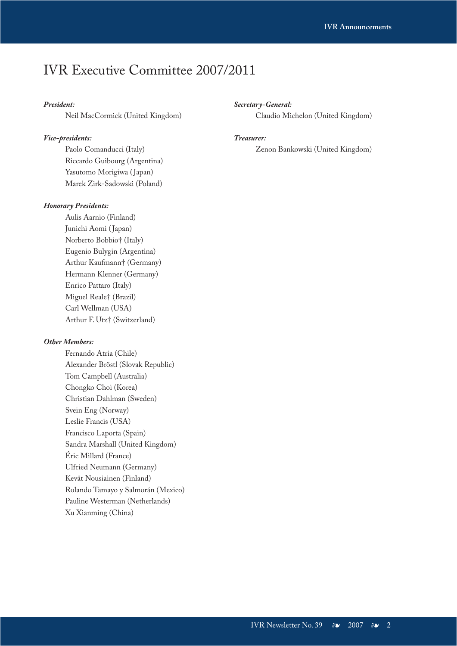# IVR Executive Committee 2007/2011

### *President:*

Neil MacCormick (United Kingdom)

### *Vice-presidents:*

Paolo Comanducci (Italy) Riccardo Guibourg (Argentina) Yasutomo Morigiwa ( Japan) Marek Zirk-Sadowski (Poland)

### *Honorary Presidents:*

Aulis Aarnio (Finland) Junichi Aomi (Japan) Norberto Bobbio† (Italy) Eugenio Bulygin (Argentina) Arthur Kaufmann† (Germany) Hermann Klenner (Germany) Enrico Pattaro (Italy) Miguel Reale† (Brazil) Carl Wellman (USA) Arthur F. Utz† (Switzerland)

### *Other Members:*

Fernando Atria (Chile) Alexander Bröstl (Slovak Republic) Tom Campbell (Australia) Chongko Choi (Korea) Christian Dahlman (Sweden) Svein Eng (Norway) Leslie Francis (USA) Francisco Laporta (Spain) Sandra Marshall (United Kingdom) Éric Millard (France) Ulfried Neumann (Germany) Kevät Nousiainen (Finland) Rolando Tamayo y Salmorán (Mexico) Pauline Westerman (Netherlands) Xu Xianming (China)

### *Secretary-General:*

Claudio Michelon (United Kingdom)

### *Treasurer:*

Zenon Bankowski (United Kingdom)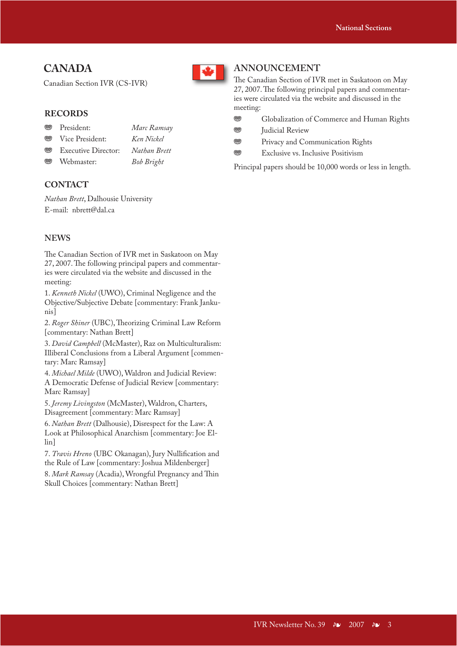# **CANADA**

Canadian Section IVR (CS-IVR)

# **RECORDS**

- j President: *Marc Ramsay* j Vice President: *Ken Nickel*
- j Executive Director: *Nathan Brett*
- j Webmaster: *Bob Bright*

# **CONTACT**

*Nathan Brett*, Dalhousie University E-mail: nbrett@dal.ca

### **NEWS**

The Canadian Section of IVR met in Saskatoon on May 27, 2007. The following principal papers and commentaries were circulated via the website and discussed in the meeting:

1. *Kenneth Nickel* (UWO), Criminal Negligence and the Objective/Subjective Debate [commentary: Frank Jankunis]

2. Roger Shiner (UBC), Theorizing Criminal Law Reform [commentary: Nathan Brett]

3. *David Campbell* (McMaster), Raz on Multiculturalism: Illiberal Conclusions from a Liberal Argument [commentary: Marc Ramsay]

4. *Michael Milde* (UWO), Waldron and Judicial Review: A Democratic Defense of Judicial Review [commentary: Marc Ramsay]

5. *Jeremy Livingston* (McMaster), Waldron, Charters, Disagreement [commentary: Marc Ramsay]

6. *Nathan Brett* (Dalhousie), Disrespect for the Law: A Look at Philosophical Anarchism [commentary: Joe Ellin]

7. *Travis Hreno* (UBC Okanagan), Jury Nullification and the Rule of Law [commentary: Joshua Mildenberger]

8. Mark Ramsay (Acadia), Wrongful Pregnancy and Thin Skull Choices [commentary: Nathan Brett]



# **ANNOUNCEMENT**

The Canadian Section of IVR met in Saskatoon on May 27, 2007. The following principal papers and commentaries were circulated via the website and discussed in the meeting:

- **WEGIORAL COMMERGED GLOBALIZATION OF COMMERGED HUMAN Rights**
- **ss Judicial Review**
- **WERENE STRANGE Privacy and Communication Rights**
- **<sup>189</sup>** Exclusive vs. Inclusive Positivism

Principal papers should be 10,000 words or less in length.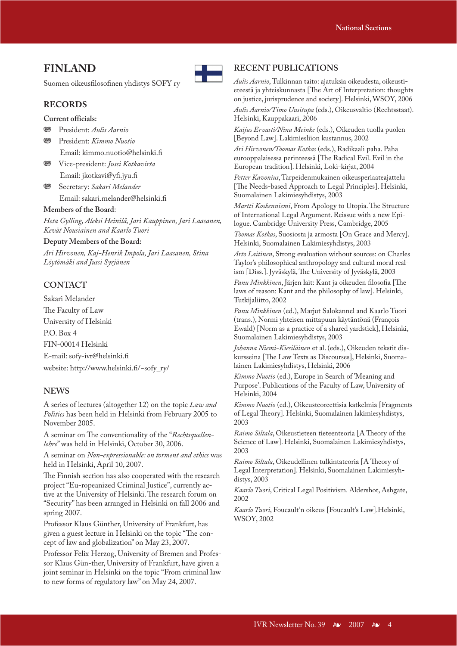# **FINLAND**

Suomen oikeusfilosofinen yhdistys SOFY ry

### **RECORDS**

**Current officials:**

- j President: *Aulis Aarnio*
- j President: *Kimmo Nuotio* Email: kimmo.nuotio@helsinki.fi
- **WE** Vice-president: *Jussi Kotkavirta* Email: jkotkavi@yfi.jyu.fi
- Secretary: *Sakari Melander* Email: sakari.melander@helsinki.fi

#### **Members of the Board**:

*Heta Gylling, Aleksi Heinilä, Jari Kauppinen, Jari Laasanen, Kevät Nousiainen and Kaarlo Tuori*

#### **Deputy Members of the Board:**

*Ari Hirvonen, Kaj-Henrik Impola, Jari Laasanen, Stina Löytömäki and Jussi Syrjänen*

# **CONTACT**

Sakari Melander The Faculty of Law University of Helsinki P.O. Box 4 FIN-00014 Helsinki E-mail: sofy-ivr@helsinki.fi website: http://www.helsinki.fi/~sofy\_ry/

### **NEWS**

A series of lectures (altogether 12) on the topic *Law and Politics* has been held in Helsinki from February 2005 to November 2005.

A seminar on The conventionality of the "*Rechtsquellenlehre*" was held in Helsinki, October 30, 2006.

A seminar on *Non-expressionable: on torment and ethics* was held in Helsinki, April 10, 2007.

The Finnish section has also cooperated with the research project "Eu-ropeanized Criminal Justice", currently active at the University of Helsinki. The research forum on "Security" has been arranged in Helsinki on fall 2006 and spring 2007.

Professor Klaus Günther, University of Frankfurt, has given a guest lecture in Helsinki on the topic "The concept of law and globalization" on May 23, 2007.

Professor Felix Herzog, University of Bremen and Professor Klaus Gün-ther, University of Frankfurt, have given a joint seminar in Helsinki on the topic "From criminal law to new forms of regulatory law" on May 24, 2007.

# **RECENT PUBLICATIONS**

*Aulis Aarnio*, Tulkinnan taito: ajatuksia oikeudesta, oikeustieteestä ja yhteiskunnasta [The Art of Interpretation: thoughts on justice, jurisprudence and society]. Helsinki, WSOY, 2006 *Aulis Aarnio/Timo Uusitupa* (eds.), Oikeusvaltio (Rechtsstaat). Helsinki, Kauppakaari, 2006

*Kaijus Ervasti/Nina Meinke* (eds.), Oikeuden tuolla puolen [Beyond Law]. Lakimiesliion kustannus, 2002

*Ari Hirvonen/Toomas Kotkas* (eds.), Radikaali paha. Paha eurooppalaisessa perinteessä [The Radical Evil. Evil in the European tradition]. Helsinki, Loki-kirjat, 2004

*Petter Kavonius*, Tarpeidenmukainen oikeusperiaateajattelu [The Needs-based Approach to Legal Principles]. Helsinki, Suomalainen Lakimiesyhdistys, 2003

*Martti Koskenniemi*, From Apology to Utopia. The Structure of International Legal Argument. Reissue with a new Epilogue. Cambridge University Press, Cambridge, 2005

*Toomas Kotkas*, Suosiosta ja armosta [On Grace and Mercy]. Helsinki, Suomalainen Lakimiesyhdistys, 2003

*Arto Laitinen*, Strong evaluation without sources: on Charles Taylor's philosophical anthropology and cultural moral realism [Diss.]. Jyväskylä, The University of Jyväskylä, 2003

*Panu Minkkinen*, Järjen lait: Kant ja oikeuden filosofia [The laws of reason: Kant and the philosophy of law]. Helsinki, Tutkijaliitto, 2002

*Panu Minkkinen* (ed.), Marjut Salokannel and Kaarlo Tuori (trans.), Normi yhteisen mittapuun käytäntönä (François Ewald) [Norm as a practice of a shared yardstick], Helsinki, Suomalainen Lakimiesyhdistys, 2003

*Johanna Niemi-Kiesiläinen* et al. (eds.), Oikeuden tekstit diskursseina [The Law Texts as Discourses], Helsinki, Suomalainen Lakimiesyhdistys, Helsinki, 2006

*Kimmo Nuotio* (ed.), Europe in Search of 'Meaning and Purpose'. Publications of the Faculty of Law, University of Helsinki, 2004

*Kimmo Nuotio* (ed.), Oikeusteoreettisia katkelmia [Fragments of Legal Theory]. Helsinki, Suomalainen lakimiesyhdistys, 2003

*Raimo Siltala*, Oikeustieteen tieteenteoria [A Theory of the Science of Law]. Helsinki, Suomalainen Lakimiesyhdistys, 2003

*Raimo Siltala*, Oikeudellinen tulkintateoria [A Theory of Legal Interpretation]. Helsinki, Suomalainen Lakimiesyhdistys, 2003

*Kaarlo Tuori*, Critical Legal Positivism. Aldershot, Ashgate, 2002

*Kaarlo Tuori*, Foucault'n oikeus [Foucault's Law].Helsinki, WSOY, 2002

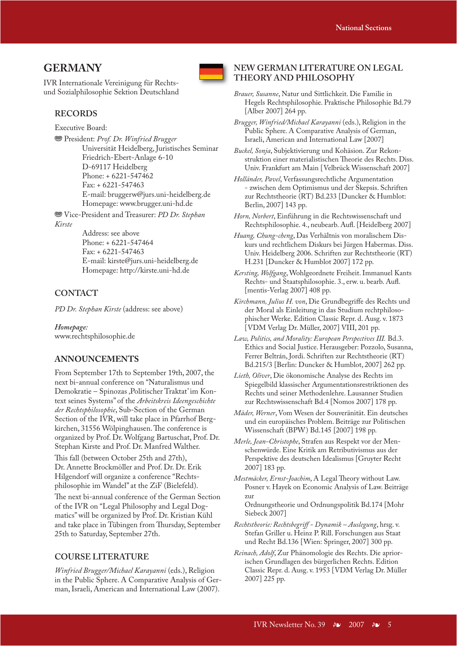# **GERMANY**

IVR Internationale Vereinigung für Rechtsund Sozialphilosophie Sektion Deutschland

### **RECORDS**

Executive Board:

 $\circledast$  President: Prof. Dr. Winfried Brugger Universität Heidelberg, Juristisches Seminar Friedrich-Ebert-Anlage 6-10 D-69117 Heidelberg Phone: + 6221-547462 Fax: + 6221-547463 E-mail: bruggerw@jurs.uni-heidelberg.de Homepage: www.brugger.uni-hd.de

j Vice-President and Treasurer: *PD Dr. Stephan Kirste*

Address: see above Phone: + 6221-547464 Fax: + 6221-547463 E-mail: kirste@jurs.uni-heidelberg.de Homepage: http://kirste.uni-hd.de

### **CONTACT**

*PD Dr. Stephan Kirste* (address: see above)

*Homepage:* www.rechtsphilosophie.de

### **ANNOUNCEMENTS**

From September 17th to September 19th, 2007, the next bi-annual conference on "Naturalismus und Demokratie – Spinozas ,Politischer Traktat' im Kontext seines Systems" of the *Arbeitskreis Ideen geschichte der Rechts philosophie*, Sub-Section of the German Section of the IVR, will take place in Pfarrhof Bergkirchen, 31556 Wölpinghausen. The conference is organized by Prof. Dr. Wolfgang Bartuschat, Prof. Dr. Stephan Kirste and Prof. Dr. Manfred Walther.

This fall (between October 25th and 27th), Dr. Annette Brockmöller and Prof. Dr. Dr. Erik Hilgendorf will organize a conference "Rechtsphilosophie im Wandel" at the ZiF (Bielefeld).

The next bi-annual conference of the German Section of the IVR on "Legal Philosophy and Legal Dogmatics" will be organized by Prof. Dr. Kristian Kühl and take place in Tübingen from Thursday, September 25th to Saturday, September 27th.

### **COURSE LITERATURE**

*Winfried Brugger/Michael Karayanni* (eds.), Religion in the Public Sphere. A Comparative Analysis of German, Israeli, American and International Law (2007).



### **NEW GERMAN LITERATURE ON LEGAL THEORY AND PHILOSOPHY**

- *Brauer, Susanne*, Natur und Sittlichkeit. Die Familie in Hegels Rechtsphilosophie. Praktische Philosophie Bd.79 [Alber 2007] 264 pp.
- *Brugger, Winfried/Michael Karayanni* (eds.), Religion in the Public Sphere. A Comparative Analysis of German, Israeli, American and International Law [2007]
- *Buckel, Sonja*, Subjektivierung und Kohäsion. Zur Rekonstruktion einer materialistischen Theorie des Rechts. Diss. Univ. Frankfurt am Main [Velbrück Wissenschaft 2007]
- *Holländer, Pavel*, Verfassungsrechtliche Argumentation - zwischen dem Optimismus und der Skepsis. Schriften zur Rechtstheorie (RT) Bd.233 [Duncker & Humblot: Berlin, 2007] 143 pp.

*Horn, Norbert*, Einführung in die Rechtswissenschaft und Rechtsphilosophie. 4., neubearb. Aufl. [Heidelberg 2007]

*Huang, Chung-cheng*, Das Verhältnis von moralischem Diskurs und rechtlichem Diskurs bei Jürgen Habermas. Diss. Univ. Heidelberg 2006. Schriften zur Rechtstheorie (RT) H.231 [Duncker & Humblot 2007] 172 pp.

*Kersting, Wolfgang*, Wohlgeordnete Freiheit. Immanuel Kants Rechts- und Staatsphilosophie. 3., erw. u. bearb. Aufl. [mentis-Verlag 2007] 408 pp.

Kirchmann, Julius H. von, Die Grundbegriffe des Rechts und der Moral als Einleitung in das Studium rechtphilosophischer Werke. Edition Classic Repr. d. Ausg. v. 1873 [VDM Verlag Dr. Müller, 2007] VIII, 201 pp.

*Law, Politics, and Morality: European Perspectives III.* Bd.3. Ethics and Social Justice. Herausgeber: Pozzolo, Susanna, Ferrer Beltrán, Jordi. Schriften zur Rechtstheorie (RT) Bd.215/3 [Berlin: Duncker & Humblot, 2007] 262 pp.

*Lieth, Oliver*, Die ökonomische Analyse des Rechts im Spiegelbild klassischer Argumentationsrestriktionen des Rechts und seiner Methodenlehre. Lausanner Studien zur Rechtswissenschaft Bd.4 [Nomos 2007] 178 pp.

- *Mäder, Werner*, Vom Wesen der Souveränität. Ein deutsches und ein europäisches Problem. Beiträge zur Politischen Wissenschaft (BPW) Bd.145 [2007] 198 pp.
- *Merle, Jean-Christophe*, Strafen aus Respekt vor der Menschenwürde. Eine Kritik am Retributivismus aus der Perspektive des deutschen Idealismus [Gruyter Recht 2007] 183 pp.

*Mestmäcker, Ernst-Joachim, A Legal Theory without Law.* Posner v. Hayek on Economic Analysis of Law. Beiträge zur Ordnungstheorie und Ordnungspolitik Bd.174 [Mohr

*Rechtstheorie: Rechtsbegriff - Dynamik – Auslegung*, hrsg. v. Stefan Griller u. Heinz P. Rill. Forschungen aus Staat und Recht Bd.136 [Wien: Springer, 2007] 300 pp.

Siebeck 2007]

*Reinach, Adolf*, Zur Phänomologie des Rechts. Die apriorischen Grundlagen des bürgerlichen Rechts. Edition Classic Repr. d. Ausg. v. 1953 [VDM Verlag Dr. Müller 2007] 225 pp.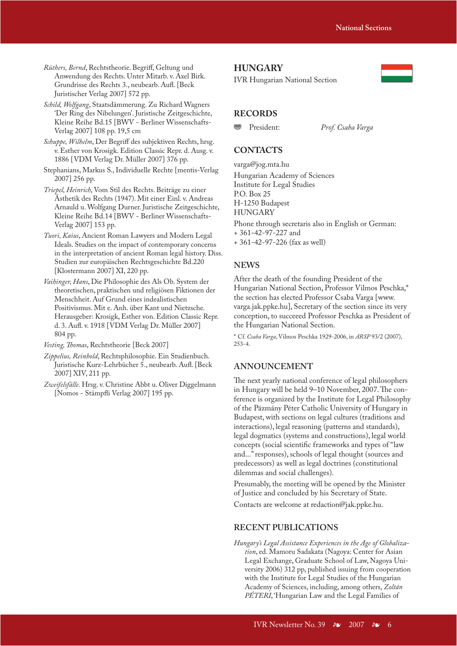*Rüthers, Bernd*, Rechtstheorie. Begriff, Geltung und Anwendung des Rechts. Unter Mitarb. v. Axel Birk. Grundrisse des Rechts 3., neubearb. Aufl. [Beck Juristischer Verlag 2007] 572 pp.

*Schild, Wolfgang*, Staatsdämmerung. Zu Richard Wagners 'Der Ring des Nibelungen'. Juristische Zeitgeschichte, Kleine Reihe Bd.15 [BWV - Berliner Wissenschafts-Verlag 2007] 108 pp. 19,5 cm

*Schuppe, Wilhelm*, Der Begriff des subjektiven Rechts, hrsg. v. Esther von Krosigk. Edition Classic Repr. d. Ausg. v. 1886 [VDM Verlag Dr. Müller 2007] 376 pp.

Stephanians, Markus S., Individuelle Rechte [mentis-Verlag 2007] 256 pp.

*Triepel, Heinrich*, Vom Stil des Rechts. Beiträge zu einer Ästhetik des Rechts (1947). Mit einer Einl. v. Andreas Arnauld u. Wolfgang Durner. Juristische Zeitgeschichte, Kleine Reihe Bd.14 [BWV - Berliner Wissenschafts-Verlag 2007] 153 pp.

*Tuori, Kaius*, Ancient Roman Lawyers and Modern Legal Ideals. Studies on the impact of contemporary concerns in the interpretation of ancient Roman legal history. Diss. Studien zur europäischen Rechtsgeschichte Bd.220 [Klostermann 2007] XI, 220 pp.

*Vaihinger, Hans*, Die Philosophie des Als Ob. System der theoretischen, praktischen und religiösen Fiktionen der Menschheit. Auf Grund eines indealistischen Positivismus. Mit e. Anh. über Kant und Nietzsche. Herausgeber: Krosigk, Esther von. Edition Classic Repr. d. 3. Aufl. v. 1918 [VDM Verlag Dr. Müller 2007] 804 pp.

*Vesting, Thomas*, Rechtstheorie [Beck 2007]

*Zippelius, Reinhold*, Rechtsphilosophie. Ein Studienbuch. Juristische Kurz-Lehrbücher 5., neubearb. Aufl. [Beck 2007] XIV, 211 pp.

*Zweifelsfälle.* Hrsg. v. Christine Abbt u. Oliver Diggelmann [Nomos - Stämpfli Verlag 2007] 195 pp.

### **HUNGARY**

IVR Hungarian National Section



### **RECORDS**

j President: *Prof. Csaba Varga*

### **CONTACTS**

varga@jog.mta.hu

Hungarian Academy of Sciences Institute for Legal Studies P.O. Box 25 H-1250 Budapest HUNGARY Phone through secretaris also in English or German: + 361-42-97-227 and

+ 361-42-97-226 (fax as well)

### **NEWS**

After the death of the founding President of the Hungarian National Section, Professor Vilmos Peschka,\* the section has elected Professor Csaba Varga [www. varga.jak.ppke.hu], Secretary of the section since its very conception, to succeeed Professor Peschka as President of the Hungarian National Section.

\* Cf. *Csaba Varga*, Vilmos Peschka 1929-2006, in *ARSP* 93/2 (2007), 253-4.

### **ANNOUNCEMENT**

The next yearly national conference of legal philosophers in Hungary will be held 9–10 November, 2007. The conference is organized by the Institute for Legal Philosophy of the Pázmány Péter Catholic University of Hungary in Budapest, with sections on legal cultures (traditions and interactions), legal reasoning (patterns and standards), legal dogmatics (systems and constructions), legal world concepts (social scientific frameworks and types of "law and..." responses), schools of legal thought (sources and predecessors) as well as legal doctrines (constitutional dilemmas and social challenges).

Presumably, the meeting will be opened by the Minister of Justice and concluded by his Secretary of State. Contacts are welcome at redaction@jak.ppke.hu.

### **RECENT PUBLICATIONS**

*Hungary's Legal Assistance Experiences in the Age of Globalization*, ed. Mamoru Sadakata (Nagoya: Center for Asian Legal Exchange, Graduate School of Law, Nagoya University 2006) 312 pp, published issuing from cooperation with the Institute for Legal Studies of the Hungarian Academy of Sciences, including, among others, *Zoltán PÉTERI*, 'Hungarian Law and the Legal Families of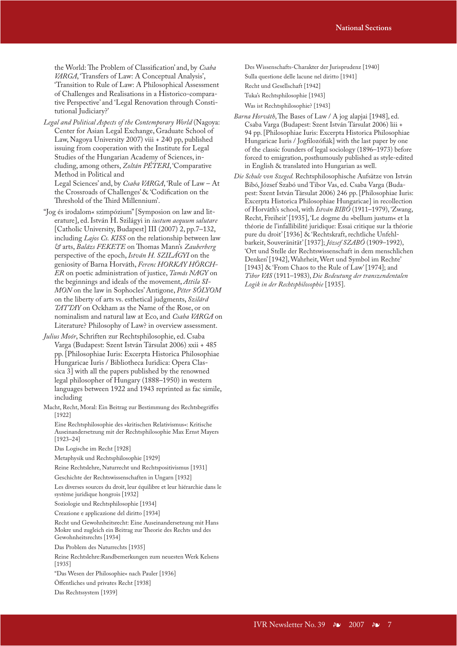the World: The Problem of Classification' and, by *Csaba VARGA*, 'Transfers of Law: A Conceptual Analysis', 'Transition to Rule of Law: A Philosophical Assessment of Challenges and Realisations in a Historico-comparative Perspective' and 'Legal Renovation through Constitutional Judiciary?'

*Legal and Political Aspects of the Contemporary World* (Nagoya: Center for Asian Legal Exchange, Graduate School of Law, Nagoya University 2007) viii + 240 pp, published issuing from cooperation with the Institute for Legal Studies of the Hungarian Academy of Sciences, including, among others, *Zoltán PÉTERI*, 'Comparative Method in Political and Legal Sciences' and, by *Csaba VARGA*, 'Rule of Law – At the Crossroads of Challenges' & 'Codification on the Threshold of the Third Millennium'.

"Jog és irodalom« szimpózium" [Symposion on law and literature], ed. István H. Szilágyi in *iustum aequum salutare* [Catholic University, Budapest] III (2007) 2, pp.7–132, including *Lajos Cs. KISS* on the relationship between law *&* arts, *Balázs FEKETE* on Thomas Mann's *Zauberberg* perspective of the epoch, *István H. SZILÁGYI* on the geniosity of Barna Horváth, *Ferenc HORKAY HÖRCH-ER* on poetic administration of justice, *Tamás NAGY* on the beginnings and ideals of the movement, *Attila SI-MON* on the law in Sophocles' Antigone, *Péter SÓLYOM* on the liberty of arts vs. esthetical judgments, *Szilárd TATTAY* on Ockham as the Name of the Rose, or on nominalism and natural law at Eco, and *Csaba VARGA* on Literature? Philosophy of Law? in overview assessment.

*Julius Moór*, Schriften zur Rechtsphilosophie, ed. Csaba Varga (Budapest: Szent István Társulat 2006) xxii + 485 pp. [Philosophiae Iuris: Excerpta Historica Philosophiae Hungaricae Iuris / Bibliotheca Iuridica: Opera Classica 3] with all the papers published by the renowned legal philosopher of Hungary (1888–1950) in western languages between 1922 and 1943 reprinted as fac simile, including

Macht, Recht, Moral: Ein Beitrag zur Bestimmung des Rechtsbegriffes [1922]

Eine Rechtsphilosophie des »kritischen Relativismus«: Kritische Auseinandersetzung mit der Rechtsphilosophie Max Ernst Mayers [1923–24]

Das Logische im Recht [1928]

Metaphysik und Rechtsphilosophie [1929]

Reine Rechtslehre, Naturrecht und Rechtspositivismus [1931]

Geschichte der Rechtswissenschaften in Ungarn [1932]

Les diverses sources du droit, leur équilibre et leur hiérarchie dans le système juridique hongrois [1932]

Soziologie und Rechtsphilosophie [1934]

Creazione e applicazione del diritto [1934]

Recht und Gewohnheitsrecht: Eine Auseinandersetzung mit Hans Mokre und zugleich ein Beitrag zur Theorie des Rechts und des Gewohnheitsrechts [1934]

Das Problem des Naturrechts [1935]

Reine Rechtslehre:Randbemerkungen zum neuesten Werk Kelsens [1935]

"Das Wesen der Philosophie« nach Pauler [1936]

Öffentliches und privates Recht [1938]

Das Rechtssystem [1939]

Des Wissenschafts-Charakter der Jurisprudenz [1940] Sulla questione delle lacune nel diritto [1941] Recht und Gesellschaft [1942] Tuka's Rechtsphilosophie [1943]

Was ist Rechtsphilosophie? [1943]

- *Barna Horváth*, The Bases of Law / A jog alapjai [1948], ed. Csaba Varga (Budapest: Szent István Társulat 2006) liii + 94 pp. [Philosophiae Iuris: Excerpta Historica Philosophiae Hungaricae Iuris / Jogfilozófiák] with the last paper by one of the classic founders of legal sociology (1896–1973) before forced to emigration, posthumously published as style-edited in English & translated into Hungarian as well.
- *Die Schule von Szeged.* Rechtsphilosophische Aufsätze von István Bibó, József Szabó und Tibor Vas, ed. Csaba Varga (Budapest: Szent István Társulat 2006) 246 pp. [Philosophiae Iuris: Excerpta Historica Philosophiae Hungaricae] in recollection of Horváth's school, with *István BIBÓ* (1911–1979), 'Zwang, Recht, Freiheit' [1935], 'Le dogme du »bellum justum« et la théorie de l'infallibilité juridique: Essai critique sur la théorie pure du droit' [1936] & 'Rechtskraft, rechtliche Unfehlbarkeit, Souveränität' [1937]; *József SZABÓ* (1909–1992), 'Ort und Stelle der Rechtswissenschaft in dem menschlichen Denken' [1942], Wahrheit, Wert und Symbol im Rechte' [1943] & 'From Chaos to the Rule of Law' [1974]; and *Tibor VAS* (1911–1983), *Die Bedeutung der transzendentalen Logik in der Rechtsphilosophie* [1935].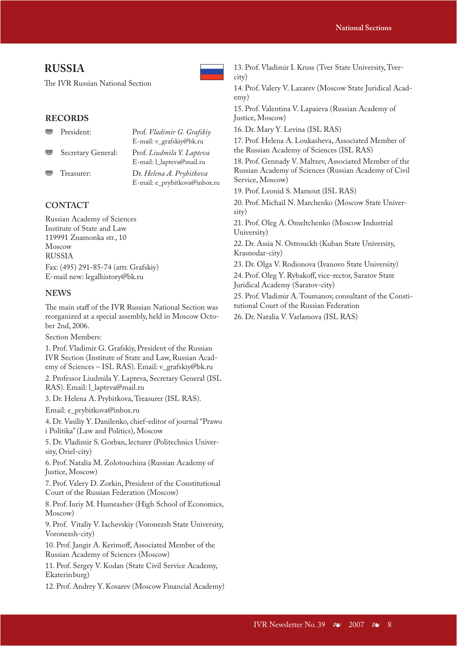# **RUSSIA**

The IVR Russian National Section

# **RECORDS**

| <b>ମି</b> ତ   | President:         | Prof. Vladimir G. Grafskiy    |
|---------------|--------------------|-------------------------------|
|               |                    | E-mail: v_grafskiy@bk.ru      |
| <b>ମ୍ପୃତି</b> | Secretary General: | Prof. Liudmila Y. Lapteva     |
|               |                    | E-mail: 1_lapteva@mail.ru     |
| <b>ମି</b> ଟି  | Treasurer:         | Dr. Helena A. Prybitkova      |
|               |                    | E-mail: e_prybitkova@inbox.ru |

# **CONTACT**

Russian Academy of Sciences Institute of State and Law 119991 Znamonka str., 10 Moscow RUSSIA

Fax: (495) 291-85-74 (attr. Grafskiy) E-mail new: legalhistory@bk.ru

### **NEWS**

The main staff of the IVR Russian National Section was reorganized at a special assembly, held in Moscow October 2nd, 2006.

Section Members:

1. Prof. Vladimir G. Grafskiy, President of the Russian IVR Section (Institute of State and Law, Russian Academy of Sciences – ISL RAS). Email: v\_grafskiy@bk.ru

2. Professor Liudmila Y. Lapteva, Secretary General (ISL RAS). Email: l\_lapteva@mail.ru

3. Dr. Helena A. Prybitkova, Treasurer (ISL RAS).

Email: e\_prybitkova@inbox.ru

4. Dr. Vasiliy Y. Danilenko, chief-editor of journal "Prawo i Politika" (Law and Politics), Moscow

5. Dr. Vladimir S. Gorban, lecturer (Politechnics University, Oriel-city)

6. Prof. Natalia M. Zolotouchina (Russian Academy of Justice, Moscow)

7. Prof. Valery D. Zorkin, President of the Constitutional Court of the Russian Federation (Moscow)

8. Prof. Iuriy M. Humeashev (High School of Economics, Moscow)

9. Prof. Vitaliy V. Iachevskiy (Voronezsh State University, Voronezsh-city)

10. Prof. Jangir A. Kerimoff, Associated Member of the Russian Academy of Sciences (Moscow)

11. Prof. Sergey V. Kodan (State Civil Service Academy, Ekaterin burg)

12. Prof. Andrey Y. Kosarev (Moscow Financial Academy)

13. Prof. Vladimir I. Kruss (Tver State University, Tvercity) 14. Prof. Valery V. Lazarev (Moscow State Juridical Academy) 15. Prof. Valentina V. Lapaieva (Russian Academy of Justice, Moscow) 16. Dr. Mary Y. Levina (ISL RAS) 17. Prof. Helena A. Loukasheva, Associated Member of

the Russian Academy of Sciences (ISL RAS)

18. Prof. Gennady V. Maltzev, Associated Member of the Russian Academy of Sciences (Russian Academy of Civil Service, Moscow)

19. Prof. Leonid S. Mamout (ISL RAS)

20. Prof. Michail N. Marchenko (Moscow State University)

21. Prof. Oleg A. Omeltchenko (Moscow Industrial University)

22. Dr. Assia N. Ostrouckh (Kuban State University, Krasnodar-city)

23. Dr. Olga V. Rodionova (Ivanovo State University)

24. Prof. Oleg Y. Rybakoff, vice-rector, Saratov State Juridical Academy (Saratov-city)

25. Prof. Vladimir A. Toumanov, consultant of the Constitutional Court of the Russian Federation

26. Dr. Natalia V. Varlamova (ISL RAS)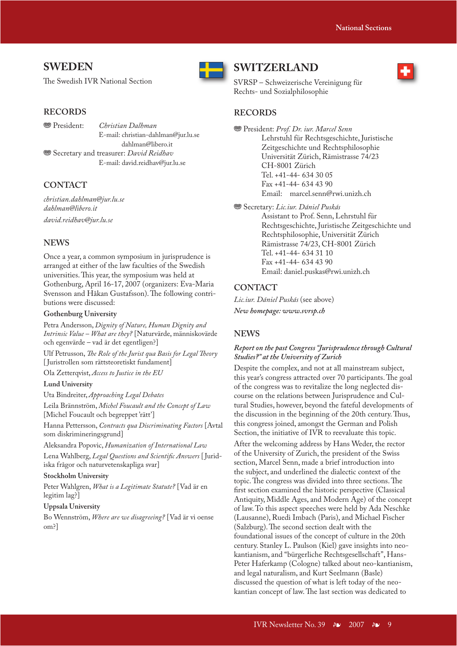# **SWEDEN**

The Swedish IVR National Section

### **RECORDS**

j President: *Christian Dalhman*

E-mail: christian-dahlman@jur.lu.se dahlman@libero.it **<sup>88</sup>** Secretary and treasurer: *David Reidhav* E-mail: david.reidhav@jur.lu.se

### **CONTACT**

*christian.dahlman@jur.lu.se dahlman@libero.it david.reidhav@jur.lu.se*

### **NEWS**

Once a year, a common symposium in jurisprudence is arranged at either of the law faculties of the Swedish universities. This year, the symposium was held at Gothenburg, April 16-17, 2007 (organizers: Eva-Maria Svensson and Håkan Gustafsson). The following contributions were discussed:

### **Gothenburg University**

Petra Andersson, *Dignity of Nature, Human Dignity and Intrinsic Value – What are they?* [Naturvärde, människovärde och egenvärde – vad är det egentligen?]

Ulf Petrusson, *The Role of the Jurist qua Basis for Legal Theory* [ Juristrollen som rättsteoretiskt fundament]

Ola Zetterqvist, *Access to Justice in the EU*

#### **Lund University**

Uta Bindreiter, *Approaching Legal Debates*

Leila Brännström, *Michel Foucault and the Concept of Law*  [Michel Foucault och begreppet 'rätt']

Hanna Pettersson, *Contracts qua Discriminating Factors* [Avtal som diskrimineringsgrund]

Aleksandra Popovic, *Humanization of International Law*

Lena Wahlberg, *Legal Questions and Scientifi c Answers* [ Juridiska frågor och naturvetenskapliga svar]

#### **Stockholm University**

Peter Wahlgren, *What is a Legitimate Statute?* [Vad är en legitim lag?]

#### **Uppsala University**

Bo Wennström, *Where are we disagreeing?* [Vad är vi oense om?]



# **SWITZERLAND**

SVRSP – Schweizerische Vereinigung für Rechts- und Sozialphilosophie

### **RECORDS**

 $\circledast$  President: Prof. Dr. iur. Marcel Senn Lehrstuhl für Rechtsgeschichte, Juristische Zeitgeschichte und Rechtsphilosophie Universität Zürich, Rämistrasse 74/23 CH-8001 Zürich Tel. +41-44- 634 30 05 Fax +41-44- 634 43 90 Email: marcel.senn@rwi.unizh.ch

**<sup>889</sup>** Secretary: *Lic.iur. Dániel Puskás* 

 Assistant to Prof. Senn, Lehrstuhl für Rechtsgeschichte, Juristische Zeitgeschichte und Rechtsphilosophie, Universität Zürich Rämistrasse 74/23, CH-8001 Zürich Tel. +41-44- 634 31 10 Fax +41-44- 634 43 90 Email: daniel.puskas@rwi.unizh.ch

### **CONTACT**

*Lic.iur. Dániel Puskás* (see above) *New homepage: www.svrsp.ch*

#### **NEWS**

### *Report on the past Congress "Jurisprudence through Cultural Studies?" at the University of Zurich*

Despite the complex, and not at all mainstream subject, this year's congress attracted over 70 participants. The goal of the congress was to revitalize the long neglected discourse on the relations between Jurisprudence and Cultural Studies, however, beyond the fateful developments of the discussion in the beginning of the 20th century. Thus, this congress joined, amongst the German and Polish Section, the initiative of IVR to reevaluate this topic.

After the welcoming address by Hans Weder, the rector of the University of Zurich, the president of the Swiss section, Marcel Senn, made a brief introduction into the subject, and underlined the dialectic context of the topic. The congress was divided into three sections. The first section examined the historic perspective (Classical Antiquity, Middle Ages, and Modern Age) of the concept of law. To this aspect speeches were held by Ada Neschke (Lausanne), Ruedi Imbach (Paris), and Michael Fischer (Salzburg). The second section dealt with the foundational issues of the concept of culture in the 20th century. Stanley L. Paulson (Kiel) gave insights into neokantianism, and "bürgerliche Rechtsgesellschaft", Hans-Peter Haferkamp (Cologne) talked about neo-kantianism, and legal naturalism, and Kurt Seelmann (Basle) discussed the question of what is left today of the neokantian concept of law. The last section was dedicated to

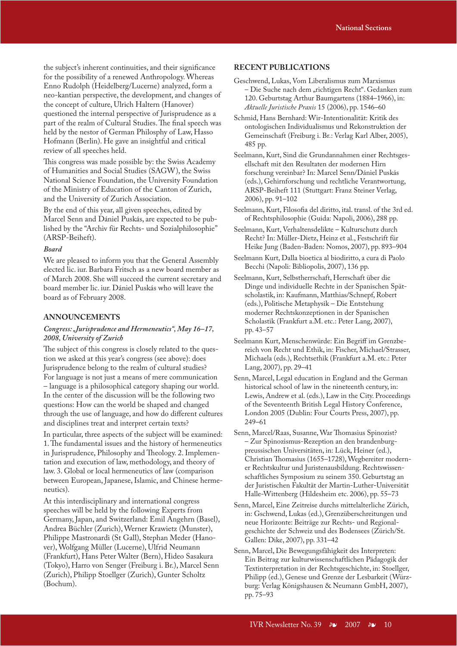the subject's inherent continuities, and their significance for the possibility of a renewed Anthropology. Whereas Enno Rudolph (Heidelberg/Lucerne) analyzed, form a neo-kantian perspective, the development, and changes of the concept of culture, Ulrich Haltern (Hanover) questioned the internal perspective of Jurisprudence as a part of the realm of Cultural Studies. The final speech was held by the nestor of German Philosphy of Law, Hasso Hofmann (Berlin). He gave an insightful and critical review of all speeches held.

This congress was made possible by: the Swiss Academy of Humanities and Social Studies (SAGW), the Swiss National Science Foundation, the University Foundation of the Ministry of Education of the Canton of Zurich, and the University of Zurich Association.

By the end of this year, all given speeches, edited by Marcel Senn and Dániel Puskás, are expected to be published by the "Archiv für Rechts- und Sozialphilosophie" (ARSP-Beiheft).

#### *Board*

We are pleased to inform you that the General Assembly elected lic. iur. Barbara Fritsch as a new board member as of March 2008. She will succeed the current secretary and board member lic. iur. Dániel Puskás who will leave the board as of February 2008.

#### **ANNOUNCEMENTS**

### *Congress: "Jurisprudence and Hermeneutics", May 16–17, 2008, University of Zurich*

The subject of this congress is closely related to the question we asked at this year's congress (see above): does Jurisprudence belong to the realm of cultural studies? For language is not just a means of mere communication – language is a philosophical category shaping our world. In the center of the discussion will be the following two questions: How can the world be shaped and changed through the use of language, and how do different cultures and disciplines treat and interpret certain texts?

In particular, three aspects of the subject will be examined: 1. The fundamental issues and the history of hermeneutics in Jurisprudence, Philosophy and Theology. 2. Implementation and execution of law, methodology, and theory of law. 3. Global or local hermeneutics of law (comparison between European, Japanese, Islamic, and Chinese hermeneutics).

At this interdisciplinary and international congress speeches will be held by the following Experts from Germany, Japan, and Switzerland: Emil Angehrn (Basel), Andrea Büchler (Zurich), Werner Krawietz (Munster), Philippe Mastronardi (St Gall), Stephan Meder (Hanover), Wolfgang Müller (Lucerne), Ulfrid Neumann (Frankfurt), Hans Peter Walter (Bern), Hideo Sasakura (Tokyo), Harro von Senger (Freiburg i. Br.), Marcel Senn (Zurich), Philipp Stoellger (Zurich), Gunter Scholtz (Bochum).

### **RECENT PUBLICATIONS**

- Geschwend, Lukas, Vom Liberalismus zum Marxismus – Die Suche nach dem "richtigen Recht". Gedanken zum 120. Geburtstag Arthur Baumgartens (1884–1966), in: *Aktuelle Juristische Praxis* 15 (2006), pp. 1546–60
- Schmid, Hans Bernhard: Wir-Intentionalität: Kritik des ontologischen Individualismus und Rekonstruktion der Gemeinschaft (Freiburg i. Br.: Verlag Karl Alber, 2005), 485 pp.
- Seelmann, Kurt, Sind die Grundannahmen einer Rechtsgesellschaft mit den Resultaten der modernen Hirn forschung vereinbar? In: Marcel Senn/Dániel Puskás (eds.), Gehirnforschung und rechtliche Verantwortung, ARSP-Beiheft 111 (Stuttgart: Franz Steiner Verlag, 2006), pp. 91–102
- Seelmann, Kurt, Filosofia del diritto, ital. transl. of the 3rd ed. of Rechtsphilosophie (Guida: Napoli, 2006), 288 pp.
- Seelmann, Kurt, Verhaltensdelikte Kulturschutz durch Recht? In: Müller-Dietz, Heinz et al., Festschrift für Heike Jung (Baden-Baden: Nomos, 2007), pp. 893–904
- Seelmann Kurt, Dalla bioetica al biodiritto, a cura di Paolo Becchi (Napoli: Bibliopolis, 2007), 136 pp.
- Seelmann, Kurt, Selbstherrschaft, Herrschaft über die Dinge und individuelle Rechte in der Spanischen Spätscholastik, in: Kaufmann, Matthias/Schnepf, Robert (eds.), Politische Metaphysik – Die Entstehung moderner Rechtskonzeptionen in der Spanischen Scholastik (Frankfurt a.M. etc.: Peter Lang, 2007), pp. 43–57
- Seelmann Kurt, Menschenwürde: Ein Begriff im Grenzbereich von Recht und Ethik, in: Fischer, Michael/Strasser, Michaela (eds.), Rechtsethik (Frankfurt a.M. etc.: Peter Lang, 2007), pp. 29–41
- Senn, Marcel, Legal education in England and the German historical school of law in the nineteenth century, in: Lewis, Andrew et al. (eds.), Law in the City. Proceedings of the Seventeenth British Legal History Conference, London 2005 (Dublin: Four Courts Press, 2007), pp. 249–61
- Senn, Marcel/Raas, Susanne, War Thomasius Spinozist? – Zur Spinozismus-Rezeption an den brandenburgpreussischen Universitäten, in: Lück, Heiner (ed.), Christian Thomasius (1655–1728), Wegbereiter moderner Rechtskultur und Juristenausbildung. Rechtswissenschaftliches Symposium zu seinem 350. Geburtstag an der Juristischen Fakultät der Martin-Luther-Universität Halle-Wittenberg (Hildesheim etc. 2006), pp. 55–73
- Senn, Marcel, Eine Zeitreise durchs mittelalterliche Zürich, in: Gschwend, Lukas (ed.), Grenzüberschreitungen und neue Horizonte: Beiträge zur Rechts- und Regionalgeschichte der Schweiz und des Bodensees (Zürich/St. Gallen: Dike, 2007), pp. 331–42
- Senn, Marcel, Die Bewegungsfähigkeit des Interpreten: Ein Beitrag zur kulturwissenschaftlichen Pädagogik der Textinterpretation in der Rechtsgeschichte, in: Stoellger, Philipp (ed.), Genese und Grenze der Lesbarkeit (Würzburg: Verlag Königshausen & Neumann GmbH, 2007), pp. 75–93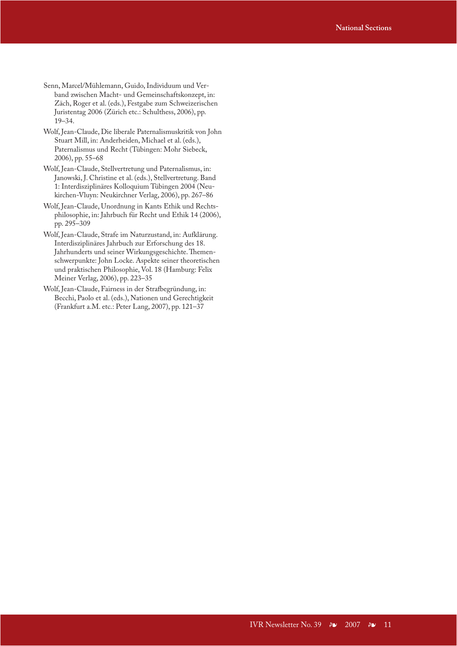- Senn, Marcel/Mühlemann, Guido, Individuum und Verband zwischen Macht- und Gemeinschaftskonzept, in: Zäch, Roger et al. (eds.), Festgabe zum Schweizerischen Juristentag 2006 (Zürich etc.: Schulthess, 2006), pp. 19–34.
- Wolf, Jean-Claude, Die liberale Paternalismuskritik von John Stuart Mill, in: Anderheiden, Michael et al. (eds.), Paternalismus und Recht (Tübingen: Mohr Siebeck, 2006), pp. 55–68
- Wolf, Jean-Claude, Stellvertretung und Paternalismus, in: Janowski, J. Christine et al. (eds.), Stellvertretung. Band 1: Interdisziplinäres Kolloquium Tübingen 2004 (Neukirchen-Vluyn: Neukirchner Verlag, 2006), pp. 267–86
- Wolf, Jean-Claude, Unordnung in Kants Ethik und Rechtsphilosophie, in: Jahrbuch für Recht und Ethik 14 (2006), pp. 295–309
- Wolf, Jean-Claude, Strafe im Naturzustand, in: Aufklärung. Interdisziplinäres Jahrbuch zur Erforschung des 18. Jahrhunderts und seiner Wirkungsgeschichte. Themenschwerpunkte: John Locke. Aspekte seiner theoretischen und praktischen Philosophie, Vol. 18 (Hamburg: Felix Meiner Verlag, 2006), pp. 223–35
- Wolf, Jean-Claude, Fairness in der Strafbegründung, in: Becchi, Paolo et al. (eds.), Nationen und Gerechtigkeit (Frankfurt a.M. etc.: Peter Lang, 2007), pp. 121–37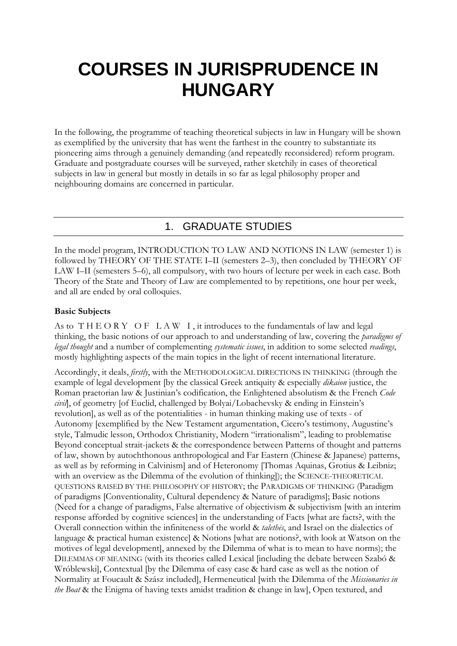# **COURSES IN JURISPRUDENCE IN HUNGARY**

In the following, the programme of teaching theoretical subjects in law in Hungary will be shown as exemplified by the university that has went the farthest in the country to substantiate its pioneering aims through a genuinely demanding (and repeatedly reconsidered) reform program. Graduate and postgraduate courses will be surveyed, rather sketchily in cases of theoretical subjects in law in general but mostly in details in so far as legal philosophy proper and neighbouring domains are concerned in particular.

# 1. GRADUATE STUDIES

In the model program, INTRODUCTION TO LAW AND NOTIONS IN LAW (semester 1) is followed by THEORY OF THE STATE I–II (semesters 2–3), then concluded by THEORY OF LAW I–II (semesters 5–6), all compulsory, with two hours of lecture per week in each case. Both Theory of the State and Theory of Law are complemented to by repetitions, one hour per week, and all are ended by oral colloquies.

# **Basic Subjects**

As to THEORY OF LAW I, it introduces to the fundamentals of law and legal thinking, the basic notions of our approach to and understanding of law, covering the *paradigms of legal thought* and a number of complementing *systematic issues*, in addition to some selected *readings*, mostly highlighting aspects of the main topics in the light of recent international literature.

Accordingly, it deals, *firstly*, with the METHODOLOGICAL DIRECTIONS IN THINKING (through the example of legal development [by the classical Greek antiquity & especially *dikaion* justice, the Roman praetorian law & Justinian's codification, the Enlightened absolutism & the French *Code civil*], of geometry [of Euclid, challenged by Bolyai/Lobachevsky & ending in Einstein's revolution], as well as of the potentialities - in human thinking making use of texts - of Autonomy [exemplified by the New Testament argumentation, Cicero's testimony, Augustine's style, Talmudic lesson, Orthodox Christianity, Modern "irrationalism", leading to problematise Beyond conceptual strait-jackets & the correspondence between Patterns of thought and patterns of law, shown by autochthonous anthropological and Far Eastern (Chinese & Japanese) patterns, as well as by reforming in Calvinism] and of Heteronomy [Thomas Aquinas, Grotius & Leibniz; with an overview as the Dilemma of the evolution of thinking]); the SCIENCE-THEORETICAL QUESTIONS RAISED BY THE PHILOSOPHY OF HISTORY; the PARADIGMS OF THINKING (Paradigm of paradigms [Conventionality, Cultural dependency & Nature of paradigms]; Basic notions (Need for a change of paradigms, False alternative of objectivism & subjectivism [with an interim response afforded by cognitive sciences] in the understanding of Facts [what are facts?, with the Overall connection within the infiniteness of the world & *talethēs*, and Israel on the dialectics of language & practical human existence] & Notions [what are notions?, with look at Watson on the motives of legal development], annexed by the Dilemma of what is to mean to have norms); the DILEMMAS OF MEANING (with its theories called Lexical [including the debate between Szabó & Wróblewski], Contextual [by the Dilemma of easy case & hard case as well as the notion of Normality at Foucault & Szász included], Hermeneutical [with the Dilemma of the *Missionaries in the Boat* & the Enigma of having texts amidst tradition & change in law], Open textured, and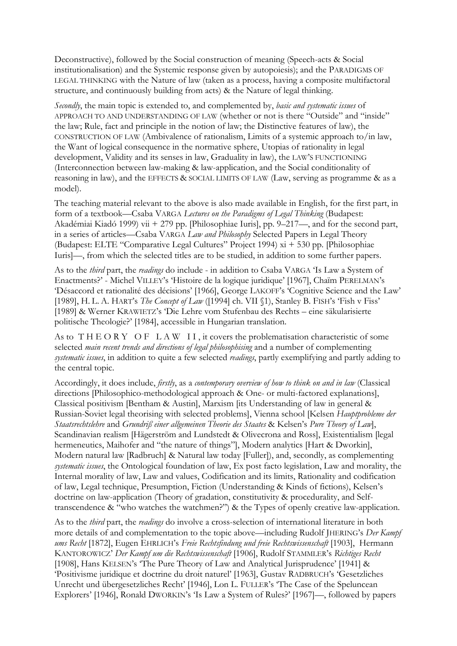Deconstructive), followed by the Social construction of meaning (Speech-acts & Social institutionalisation) and the Systemic response given by autopoiesis); and the PARADIGMS OF LEGAL THINKING with the Nature of law (taken as a process, having a composite multifactoral structure, and continuously building from acts) & the Nature of legal thinking.

*Secondly*, the main topic is extended to, and complemented by, *basic and systematic issues* of APPROACH TO AND UNDERSTANDING OF LAW (whether or not is there "Outside" and "inside" the law; Rule, fact and principle in the notion of law; the Distinctive features of law), the CONSTRUCTION OF LAW (Ambivalence of rationalism, Limits of a systemic approach to/in law, the Want of logical consequence in the normative sphere, Utopias of rationality in legal development, Validity and its senses in law, Graduality in law), the LAW'S FUNCTIONING (Interconnection between law-making & law-application, and the Social conditionality of reasoning in law), and the EFFECTS & SOCIAL LIMITS OF LAW (Law, serving as programme & as a model).

The teaching material relevant to the above is also made available in English, for the first part, in form of a textbook—Csaba VARGA *Lectures on the Paradigms of Legal Thinking* (Budapest: Akadémiai Kiadó 1999) vii + 279 pp. [Philosophiae Iuris], pp. 9–217—, and for the second part, in a series of articles—Csaba VARGA *Law and Philosophy* Selected Papers in Legal Theory (Budapest: ELTE "Comparative Legal Cultures" Project 1994) xi + 530 pp. [Philosophiae Iuris]—, from which the selected titles are to be studied, in addition to some further papers.

As to the *third* part, the *readings* do include - in addition to Csaba VARGA 'Is Law a System of Enactments?' - Michel VILLEY's 'Histoire de la logique juridique' [1967], Chaïm PERELMAN's 'Désaccord et rationalité des décisions' [1966], George LAKOFF's 'Cognitive Science and the Law' [1989], H. L. A. HART's *The Concept of Law* ([1994] ch. VII §1), Stanley B. FISH's 'Fish v Fiss' [1989] & Werner KRAWIETZ's 'Die Lehre vom Stufenbau des Rechts – eine säkularisierte politische Theologie?' [1984], accessible in Hungarian translation.

As to THEORY OF LAW II, it covers the problematisation characteristic of some selected *main recent trends and directions of legal philosophising* and a number of complementing *systematic issues*, in addition to quite a few selected *readings*, partly exemplifying and partly adding to the central topic.

Accordingly, it does include, *firstly*, as a *contemporary overview of how to think on and in law* (Classical directions [Philosophico-methodological approach & One- or multi-factored explanations], Classical positivism [Bentham & Austin], Marxism [its Understanding of law in general & Russian-Soviet legal theorising with selected problems], Vienna school [Kelsen *Hauptprobleme der Staatsrechtslehre* and *Grundriß einer allgemeinen Theorie des Staates* & Kelsen's *Pure Theory of Law*], Scandinavian realism [Hägerström and Lundstedt & Olivecrona and Ross], Existentialism [legal hermeneutics, Maihofer and "the nature of things"], Modern analytics [Hart & Dworkin], Modern natural law [Radbruch] & Natural law today [Fuller]), and, secondly, as complementing *systematic issues*, the Ontological foundation of law, Ex post facto legislation, Law and morality, the Internal morality of law, Law and values, Codification and its limits, Rationality and codification of law, Legal technique, Presumption, Fiction (Understanding & Kinds of fictions), Kelsen's doctrine on law-application (Theory of gradation, constitutivity & procedurality, and Selftranscendence & "who watches the watchmen?") & the Types of openly creative law-application.

As to the *third* part, the *readings* do involve a cross-selection of international literature in both more details of and complementation to the topic above—including Rudolf JHERING's *Der Kampf ums Recht* [1872], Eugen EHRLICH's *Freie Rechtsfindung und freie Rechtswissenschaft* [1903], Hermann KANTOROWICZ' *Der Kampf um die Rechtswissenschaft* [1906], Rudolf STAMMLER's *Richtiges Recht* [1908], Hans KELSEN's 'The Pure Theory of Law and Analytical Jurisprudence' [1941] & 'Positivisme juridique et doctrine du droit naturel' [1963], Gustav RADBRUCH's 'Gesetzliches Unrecht und übergesetzliches Recht' [1946], Lon L. FULLER's 'The Case of the Speluncean Explorers' [1946], Ronald DWORKIN's 'Is Law a System of Rules?' [1967]—, followed by papers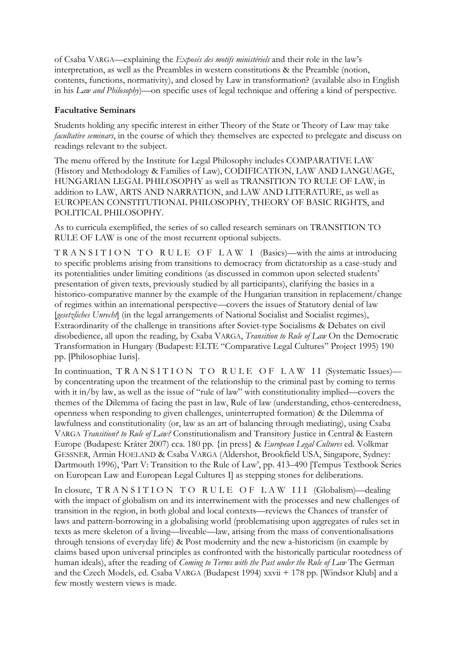of Csaba VARGA—explaining the *Exposés des motifs ministériels* and their role in the law's interpretation, as well as the Preambles in western constitutions & the Preamble (notion, contents, functions, normativity), and closed by Law in transformation? (available also in English in his *Law and Philosophy*)—on specific uses of legal technique and offering a kind of perspective.

# **Facultative Seminars**

Students holding any specific interest in either Theory of the State or Theory of Law may take *facultative seminars*, in the course of which they themselves are expected to prelegate and discuss on readings relevant to the subject.

The menu offered by the Institute for Legal Philosophy includes COMPARATIVE LAW (History and Methodology & Families of Law), CODIFICATION, LAW AND LANGUAGE, HUNGARIAN LEGAL PHILOSOPHY as well as TRANSITION TO RULE OF LAW, in addition to LAW, ARTS AND NARRATION, and LAW AND LITERATURE, as well as EUROPEAN CONSTITUTIONAL PHILOSOPHY, THEORY OF BASIC RIGHTS, and POLITICAL PHILOSOPHY.

As to curricula exemplified, the series of so called research seminars on TRANSITION TO RULE OF LAW is one of the most recurrent optional subjects.

T R A N S I T I O N T O R U L E O F L A W I (Basics)—with the aims at introducing to specific problems arising from transitions to democracy from dictatorship as a case-study and its potentialities under limiting conditions (as discussed in common upon selected students' presentation of given texts, previously studied by all participants), clarifying the basics in a historico-comparative manner by the example of the Hungarian transition in replacement/change of regimes within an international perspective—covers the issues of Statutory denial of law [*gesetzliches Unrecht*] (in the legal arrangements of National Socialist and Socialist regimes), Extraordinarity of the challenge in transitions after Soviet-type Socialisms & Debates on civil disobedience, all upon the reading, by Csaba VARGA, *Transition to Rule of Law* On the Democratic Transformation in Hungary (Budapest: ELTE "Comparative Legal Cultures" Project 1995) 190 pp. [Philosophiae Iuris].

In continuation, TRANSITION TO RULE OF LAW II (Systematic Issues)by concentrating upon the treatment of the relationship to the criminal past by coming to terms with it in/by law, as well as the issue of "rule of law" with constitutionality implied—covers the themes of the Dilemma of facing the past in law, Rule of law (understanding, ethos-centeredness, openness when responding to given challenges, uninterrupted formation) & the Dilemma of lawfulness and constitutionality (or, law as an art of balancing through mediating), using Csaba VARGA *Transition? to Rule of Law?* Constitutionalism and Transitory Justice in Central & Eastern Europe (Budapest: Kráter 2007) cca. 180 pp. {in press} & *European Legal Cultures* ed. Volkmar GESSNER, Armin HOELAND & Csaba VARGA (Aldershot, Brookfield USA, Singapore, Sydney: Dartmouth 1996), 'Part V: Transition to the Rule of Law', pp. 413–490 [Tempus Textbook Series on European Law and European Legal Cultures I] as stepping stones for deliberations.

In closure, TRANSITION TO RULE OF LAW III (Globalism)—dealing with the impact of globalism on and its intertwinement with the processes and new challenges of transition in the region, in both global and local contexts—reviews the Chances of transfer of laws and pattern-borrowing in a globalising world (problematising upon aggregates of rules set in texts as mere skeleton of a living—liveable—law, arising from the mass of conventionalisations through tensions of everyday life) & Post modernity and the new a-historicism (in example by claims based upon universal principles as confronted with the historically particular rootedness of human ideals), after the reading of *Coming to Terms with the Past under the Rule of Law* The German and the Czech Models, ed. Csaba VARGA (Budapest 1994) xxvii + 178 pp. [Windsor Klub] and a few mostly western views is made.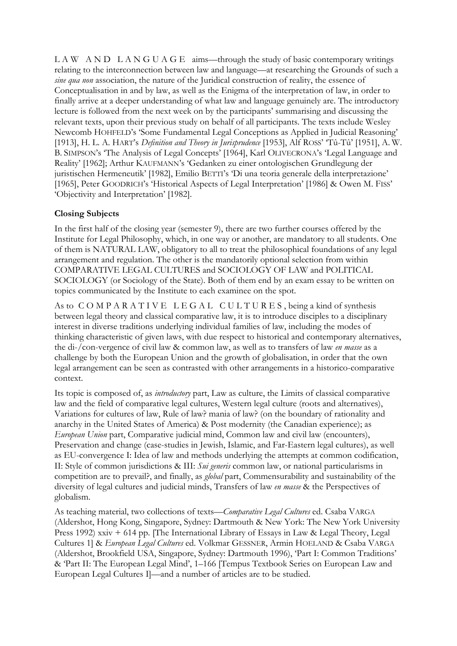$L A W A N D L A N G U A G E$  aims—through the study of basic contemporary writings relating to the interconnection between law and language—at researching the Grounds of such a *sine qua non* association, the nature of the Juridical construction of reality, the essence of Conceptualisation in and by law, as well as the Enigma of the interpretation of law, in order to finally arrive at a deeper understanding of what law and language genuinely are. The introductory lecture is followed from the next week on by the participants' summarising and discussing the relevant texts, upon their previous study on behalf of all participants. The texts include Wesley Newcomb HOHFELD's 'Some Fundamental Legal Conceptions as Applied in Judicial Reasoning' [1913], H. L. A. HART's *Definition and Theory in Jurisprudence* [1953], Alf ROSS' 'Tû-Tû' [1951], A. W. B. SIMPSON's 'The Analysis of Legal Concepts' [1964], Karl OLIVECRONA's 'Legal Language and Reality' [1962]; Arthur KAUFMANN's 'Gedanken zu einer ontologischen Grundlegung der juristischen Hermeneutik' [1982], Emilio BETTI's 'Di una teoria generale della interpretazione' [1965], Peter GOODRICH's 'Historical Aspects of Legal Interpretation' [1986] & Owen M. FISS' 'Objectivity and Interpretation' [1982].

# **Closing Subjects**

In the first half of the closing year (semester 9), there are two further courses offered by the Institute for Legal Philosophy, which, in one way or another, are mandatory to all students. One of them is NATURAL LAW, obligatory to all to treat the philosophical foundations of any legal arrangement and regulation. The other is the mandatorily optional selection from within COMPARATIVE LEGAL CULTURES and SOCIOLOGY OF LAW and POLITICAL SOCIOLOGY (or Sociology of the State). Both of them end by an exam essay to be written on topics communicated by the Institute to each examinee on the spot.

As to COMPARATIVE LEGAL CULTURES, being a kind of synthesis between legal theory and classical comparative law, it is to introduce disciples to a disciplinary interest in diverse traditions underlying individual families of law, including the modes of thinking characteristic of given laws, with due respect to historical and contemporary alternatives, the di-/con-vergence of civil law & common law, as well as to transfers of law *en masse* as a challenge by both the European Union and the growth of globalisation, in order that the own legal arrangement can be seen as contrasted with other arrangements in a historico-comparative context.

Its topic is composed of, as *introductory* part, Law as culture, the Limits of classical comparative law and the field of comparative legal cultures, Western legal culture (roots and alternatives), Variations for cultures of law, Rule of law? mania of law? (on the boundary of rationality and anarchy in the United States of America) & Post modernity (the Canadian experience); as *European Union* part, Comparative judicial mind, Common law and civil law (encounters), Preservation and change (case-studies in Jewish, Islamic, and Far-Eastern legal cultures), as well as EU-convergence I: Idea of law and methods underlying the attempts at common codification, II: Style of common jurisdictions & III: *Sui generis* common law, or national particularisms in competition are to prevail?, and finally, as *global* part, Commensurability and sustainability of the diversity of legal cultures and judicial minds, Transfers of law *en masse* & the Perspectives of globalism.

As teaching material, two collections of texts—*Comparative Legal Cultures* ed. Csaba VARGA (Aldershot, Hong Kong, Singapore, Sydney: Dartmouth & New York: The New York University Press 1992) xxiv + 614 pp. [The International Library of Essays in Law & Legal Theory, Legal Cultures 1] & *European Legal Cultures* ed. Volkmar GESSNER, Armin HOELAND & Csaba VARGA (Aldershot, Brookfield USA, Singapore, Sydney: Dartmouth 1996), 'Part I: Common Traditions' & 'Part II: The European Legal Mind', 1–166 [Tempus Textbook Series on European Law and European Legal Cultures I]—and a number of articles are to be studied.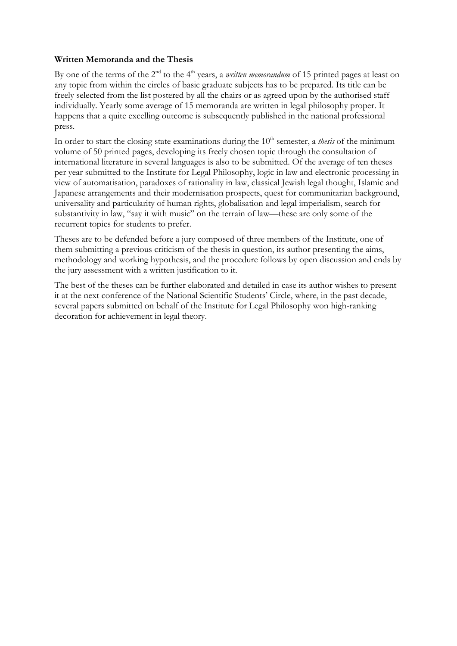# **Written Memoranda and the Thesis**

By one of the terms of the 2<sup>nd</sup> to the 4<sup>th</sup> years, a *written memorandum* of 15 printed pages at least on any topic from within the circles of basic graduate subjects has to be prepared. Its title can be freely selected from the list postered by all the chairs or as agreed upon by the authorised staff individually. Yearly some average of 15 memoranda are written in legal philosophy proper. It happens that a quite excelling outcome is subsequently published in the national professional press.

In order to start the closing state examinations during the 10<sup>th</sup> semester, a *thesis* of the minimum volume of 50 printed pages, developing its freely chosen topic through the consultation of international literature in several languages is also to be submitted. Of the average of ten theses per year submitted to the Institute for Legal Philosophy, logic in law and electronic processing in view of automatisation, paradoxes of rationality in law, classical Jewish legal thought, Islamic and Japanese arrangements and their modernisation prospects, quest for communitarian background, universality and particularity of human rights, globalisation and legal imperialism, search for substantivity in law, "say it with music" on the terrain of law—these are only some of the recurrent topics for students to prefer.

Theses are to be defended before a jury composed of three members of the Institute, one of them submitting a previous criticism of the thesis in question, its author presenting the aims, methodology and working hypothesis, and the procedure follows by open discussion and ends by the jury assessment with a written justification to it.

The best of the theses can be further elaborated and detailed in case its author wishes to present it at the next conference of the National Scientific Students' Circle, where, in the past decade, several papers submitted on behalf of the Institute for Legal Philosophy won high-ranking decoration for achievement in legal theory.